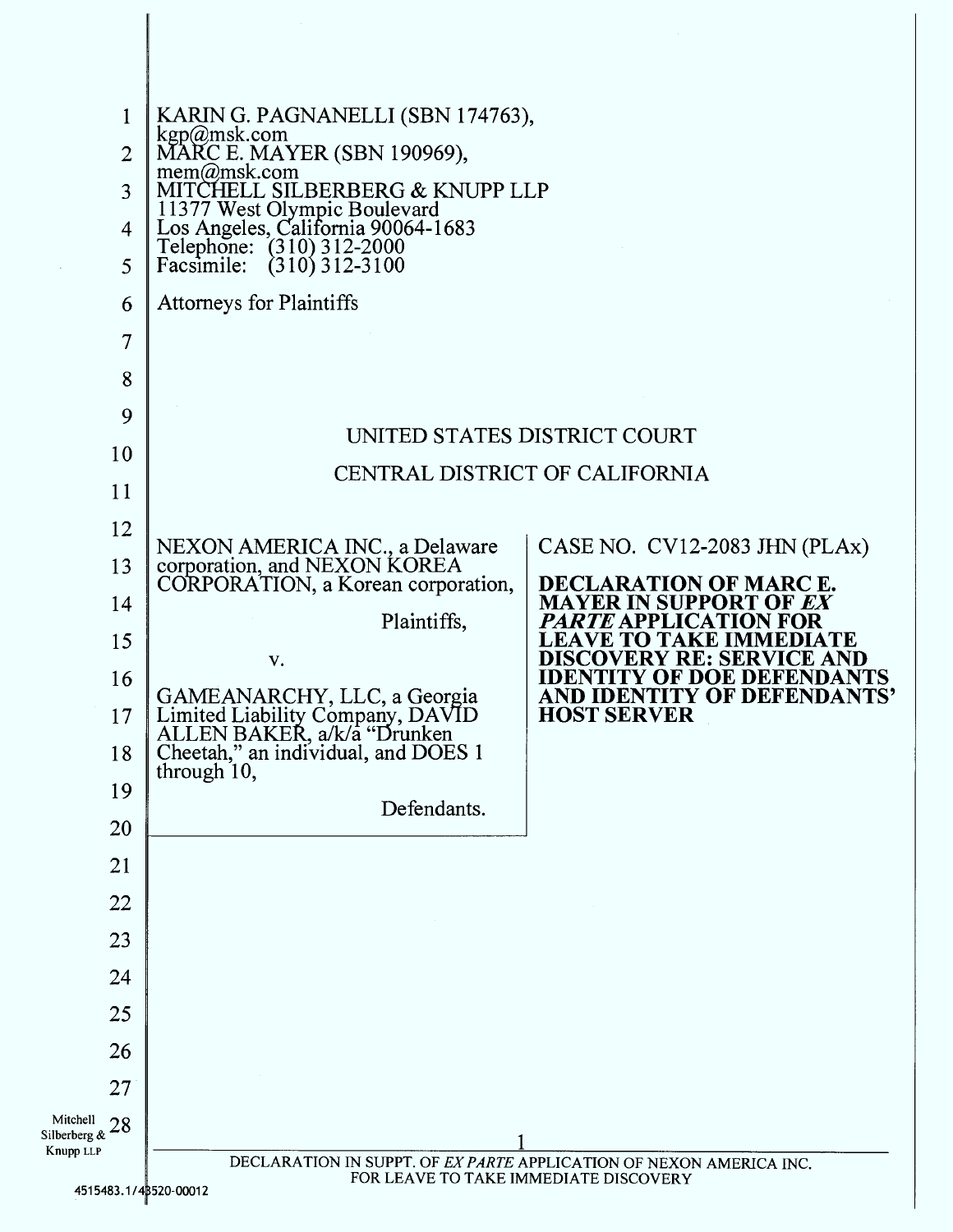| 1                              | KARIN G. PAGNANELLI (SBN 174763),                                                                                                                               |                                                                       |  |
|--------------------------------|-----------------------------------------------------------------------------------------------------------------------------------------------------------------|-----------------------------------------------------------------------|--|
| $\overline{2}$                 | kgp@msk.com<br>MARC E. MAYER (SBN 190969),<br>mem@msk.com                                                                                                       |                                                                       |  |
| 3                              | MITCHELL SILBERBERG & KNUPP LLP<br>11377 West Olympic Boulevard<br>Los Angeles, California 90064-1683<br>Telephone: (310) 312-2000<br>Facsimile: (310) 312-3100 |                                                                       |  |
| 4                              |                                                                                                                                                                 |                                                                       |  |
| 5                              |                                                                                                                                                                 |                                                                       |  |
| 6                              | <b>Attorneys for Plaintiffs</b>                                                                                                                                 |                                                                       |  |
| 7                              |                                                                                                                                                                 |                                                                       |  |
| 8                              |                                                                                                                                                                 |                                                                       |  |
| 9                              |                                                                                                                                                                 |                                                                       |  |
| 10                             | UNITED STATES DISTRICT COURT                                                                                                                                    |                                                                       |  |
| 11                             | CENTRAL DISTRICT OF CALIFORNIA                                                                                                                                  |                                                                       |  |
| 12                             |                                                                                                                                                                 |                                                                       |  |
| 13                             | NEXON AMERICA INC., a Delaware<br>corporation, and NEXON KOREA                                                                                                  | CASE NO. CV12-2083 JHN (PLAx)                                         |  |
| 14                             | CORPORATION, a Korean corporation,                                                                                                                              | DECLARATION OF MARC E.<br><b>MAYER IN SUPPORT OF EX</b>               |  |
| 15                             | Plaintiffs,                                                                                                                                                     | <i>PARTE</i> APPLICATION FOR<br><b>LEAVE TO TAKE IMMEDIATE</b>        |  |
| 16                             | V.                                                                                                                                                              | <b>DISCOVERY RE: SERVICE AND</b><br><b>IDENTITY OF DOE DEFENDANTS</b> |  |
| 17                             | GAMEANARCHY, LLC, a Georgia<br>Limited Liability Company, DAVID<br>ALLEN BAKER, a/k/a "Drunken                                                                  | AND IDENTITY OF DEFENDANTS'<br><b>HOST SERVER</b>                     |  |
| 18                             | Cheetah," an individual, and DOES 1                                                                                                                             |                                                                       |  |
| 19                             | through 10,                                                                                                                                                     |                                                                       |  |
| 20                             | Defendants.                                                                                                                                                     |                                                                       |  |
| 21                             |                                                                                                                                                                 |                                                                       |  |
| 22                             |                                                                                                                                                                 |                                                                       |  |
| 23                             |                                                                                                                                                                 |                                                                       |  |
| 24                             |                                                                                                                                                                 |                                                                       |  |
| 25                             |                                                                                                                                                                 |                                                                       |  |
| 26                             |                                                                                                                                                                 |                                                                       |  |
| 27                             |                                                                                                                                                                 |                                                                       |  |
| Mitchell<br>28<br>Silberberg & |                                                                                                                                                                 |                                                                       |  |
| Knupp LLP                      | DECLARATION IN SUPPT. OF EX PARTE APPLICATION OF NEXON AMERICA INC.<br>FOR LEAVE TO TAKE IMMEDIATE DISCOVERY                                                    |                                                                       |  |
| 4515483.1/43520-00012          |                                                                                                                                                                 |                                                                       |  |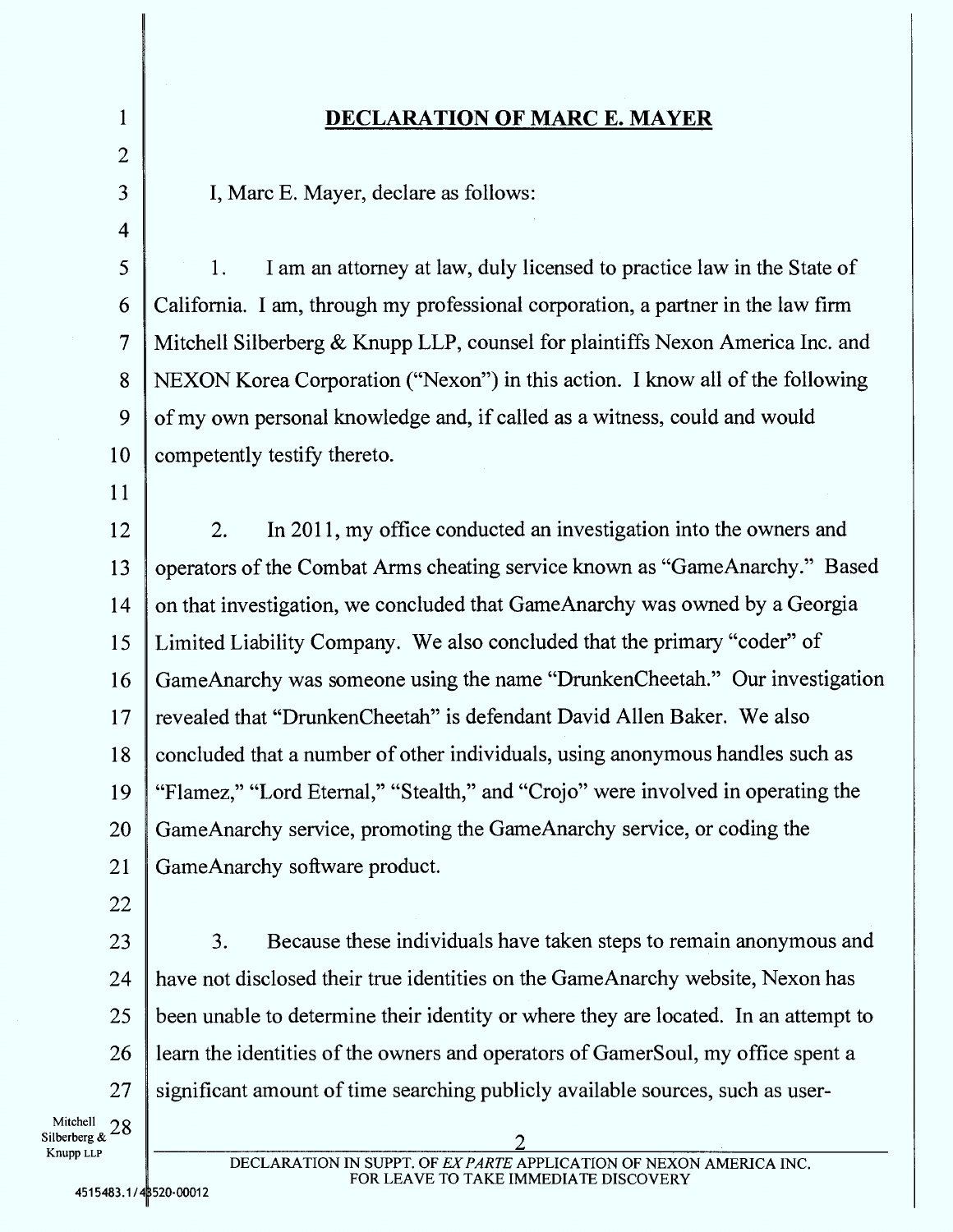## 1 DECLARATION OF MARC E. MAYER

2

4

3 I, Marc E. Mayer, declare as follows:

5 1. I am an attorney at law, duly licensed to practice law in the State of 6 California. I am, through my professional corporation, a partner in the law firm 7 Mitchell Silberberg & Knupp LLP, counsel for plaintiffs Nexon America Inc. and 8 NEXON Korea Corporation ("Nexon") in this action. I know all of the following 9 of my own personal knowledge and, if called as a witness, could and would 10 competently testify thereto.

11

12 2. In 2011, my office conducted an investigation into the owners and 13 operators of the Combat Arms cheating service known as "GameAnarchy." Based 14 on that investigation, we concluded that GameAnarchy was owned by a Georgia 15 Limited Liability Company. We also concluded that the primary "coder" of 16 GameAnarchy was someone using the name "DrunkenCheetah." Our investigation 17 | revealed that "DrunkenCheetah" is defendant David Allen Baker. We also 18 concluded that a number of other individuals, using anonymous handles such as 19 "Flamez," "Lord Eternal," "Stealth," and "Crojo" were involved in operating the 20 GameAnarchy service, promoting the GameAnarchy service, or coding the 21 GameAnarchy software product.

22

23 3. Because these individuals have taken steps to remain anonymous and 24 have not disclosed their true identities on the GameAnarchy website, Nexon has 25 been unable to determine their identity or where they are located. In an attempt to 26 learn the identities of the owners and operators of GamerSoul, my office spent a 27 significant amount of time searching publicly available sources, such as user-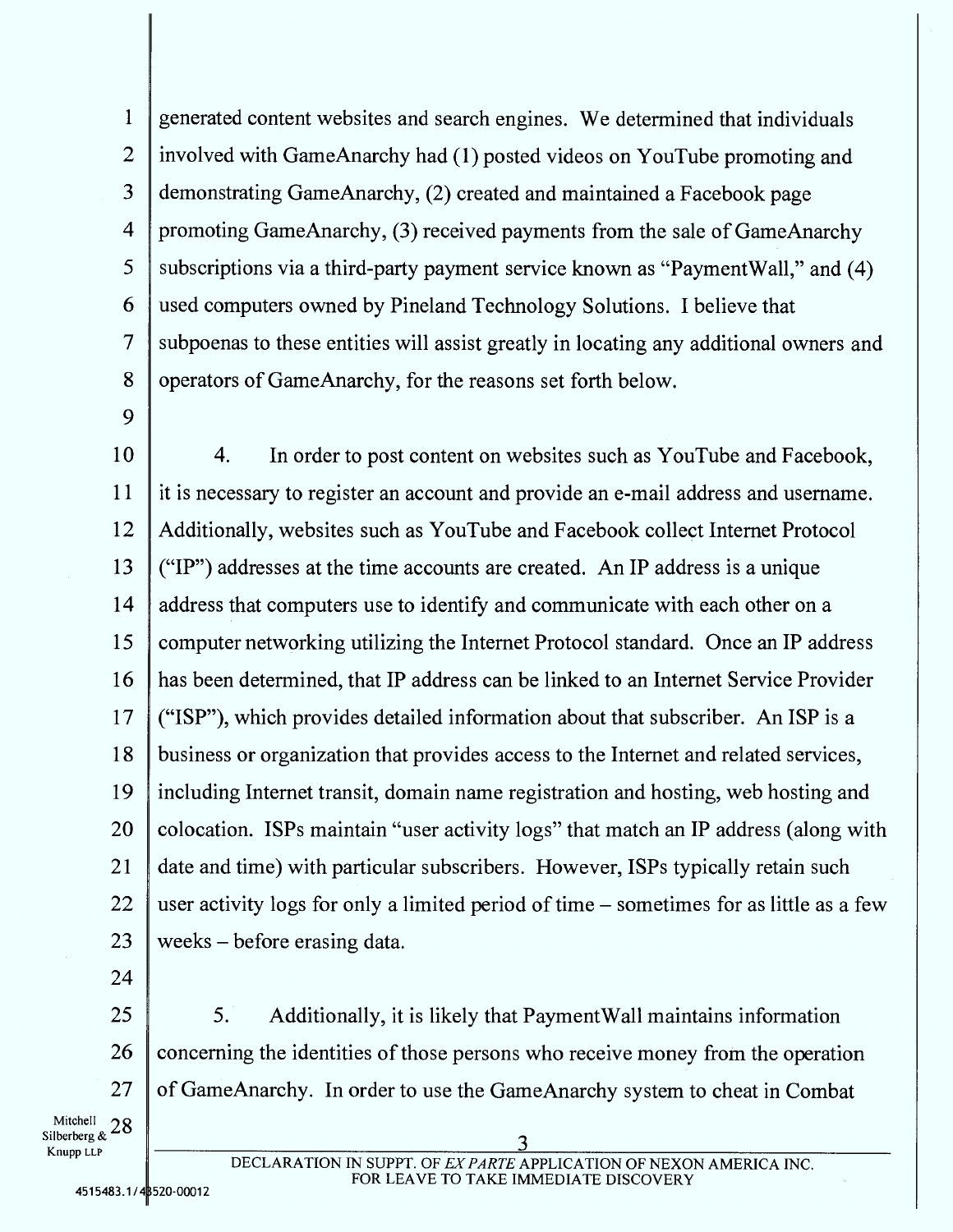1 generated content websites and search engines. We determined that individuals 2 involved with GameAnarchy had (1) posted videos on YouTube promoting and 3 demonstrating GameAnarchy, (2) created and maintained a Facebook page 4 promoting GameAnarchy, (3) received payments from the sale of GameAnarchy 5 subscriptions via a third-party payment service known as "PaymentWall," and (4) 6 used computers owned by Pineland Technology Solutions. I believe that 7 subpoenas to these entities will assist greatly in locating any additional owners and 8 operators of GameAnarchy, for the reasons set forth below.

9

10 4. In order to post content on websites such as YouTube and Facebook, 11 it is necessary to register an account and provide an e-mail address and username. 12 Additionally, websites such as YouTube and Facebook collect Internet Protocol 13  $\vert$  ("IP") addresses at the time accounts are created. An IP address is a unique 14 address that computers use to identify and communicate with each other on a 15 computer networking utilizing the Internet Protocol standard. Once an IP address 16 has been determined, that IP address can be linked to an Internet Service Provider 17 ("ISP"), which provides detailed information about that subscriber. An ISP is a 18 business or organization that provides access to the Internet and related services, 19 including Internet transit, domain name registration and hosting, web hosting and 20 colocation. ISPs maintain "user activity logs" that match an IP address (along with 21 date and time) with particular subscribers. However, ISPs typically retain such 22 user activity logs for only a limited period of time  $-$  sometimes for as little as a few 23 weeks – before erasing data.

24

 $25$   $\parallel$  5. Additionally, it is likely that Payment Wall maintains information 26 concerning the identities of those persons who receive money from the operation 27 of GameAnarchy. In order to use the GameAnarchy system to cheat in Combat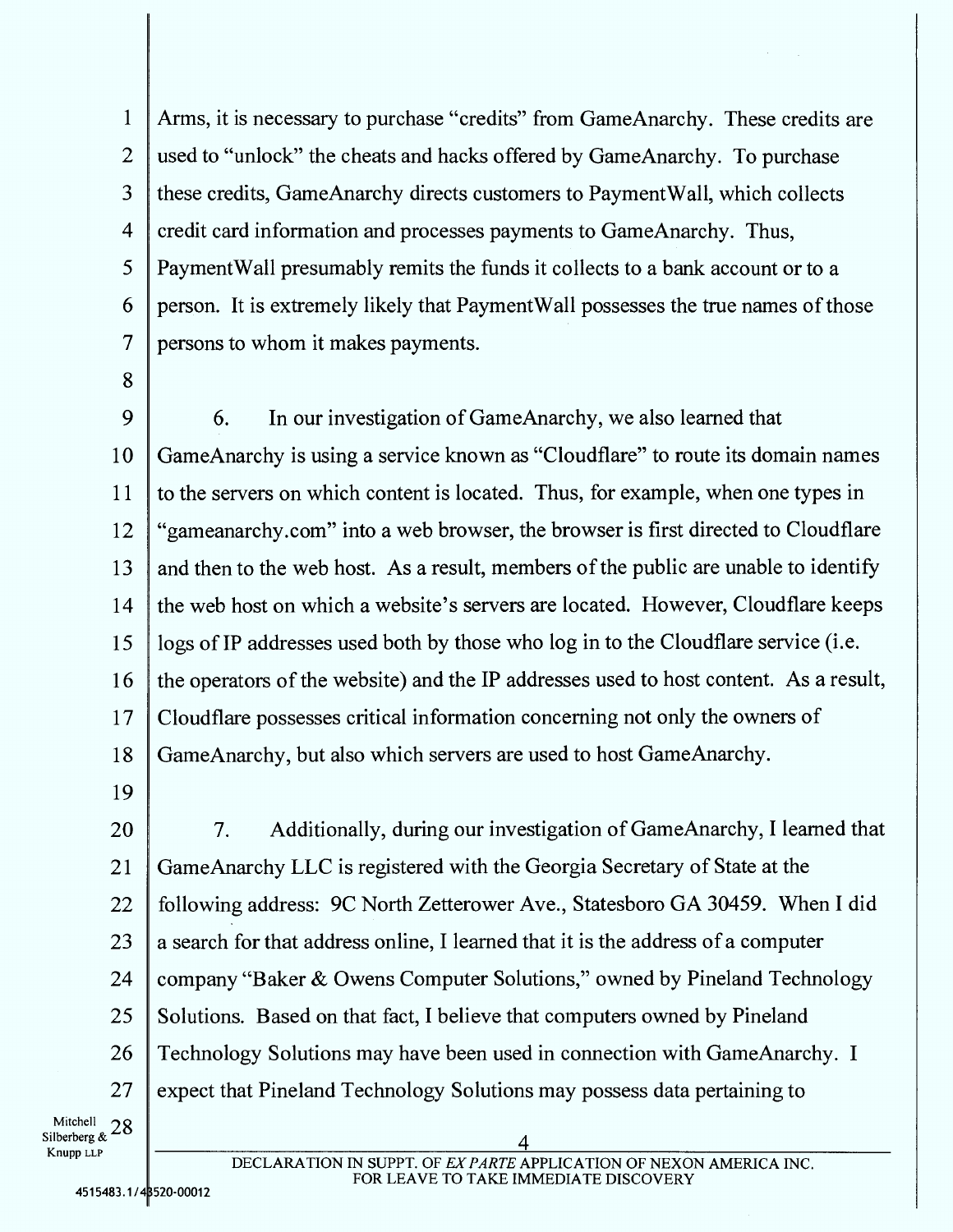Arms, it is necessary to purchase "credits" from GameAnarchy. These credits are used to "unlock" the cheats and hacks offered by GameAnarchy. To purchase these credits, GameAnarchy directs customers to PaymentWall, which collects credit card information and processes payments to GameAnarchy. Thus, PaymentWall presumably remits the funds it collects to a bank account or to a person. It is extremely likely that PaymentWall possesses the true names of those persons to whom it makes payments.

 6. In our investigation of GameAnarchy, we also learned that GameAnarchy is using a service known as "Cloudflare" to route its domain names to the servers on which content is located. Thus, for example, when one types in "gameanarchy.com" into a web browser, the browser is first directed to Cloudflare 13 and then to the web host. As a result, members of the public are unable to identify the web host on which a website's servers are located. However, Cloudflare keeps logs of IP addresses used both by those who log in to the Cloudflare service (i.e. the operators of the website) and the IP addresses used to host content. As a result, Cloudflare possesses critical information concerning not only the owners of GameAnarchy, but also which servers are used to host GameAnarchy.

7. Additionally, during our investigation of GameAnarchy, I learned that GameAnarchy LLC is registered with the Georgia Secretary of State at the following address: 9C North Zetterower Ave., Statesboro GA 30459. When I did 23 a search for that address online, I learned that it is the address of a computer 24 | company "Baker & Owens Computer Solutions," owned by Pineland Technology 25 Solutions. Based on that fact, I believe that computers owned by Pineland Technology Solutions may have been used in connection with GameAnarchy. I 27 expect that Pineland Technology Solutions may possess data pertaining to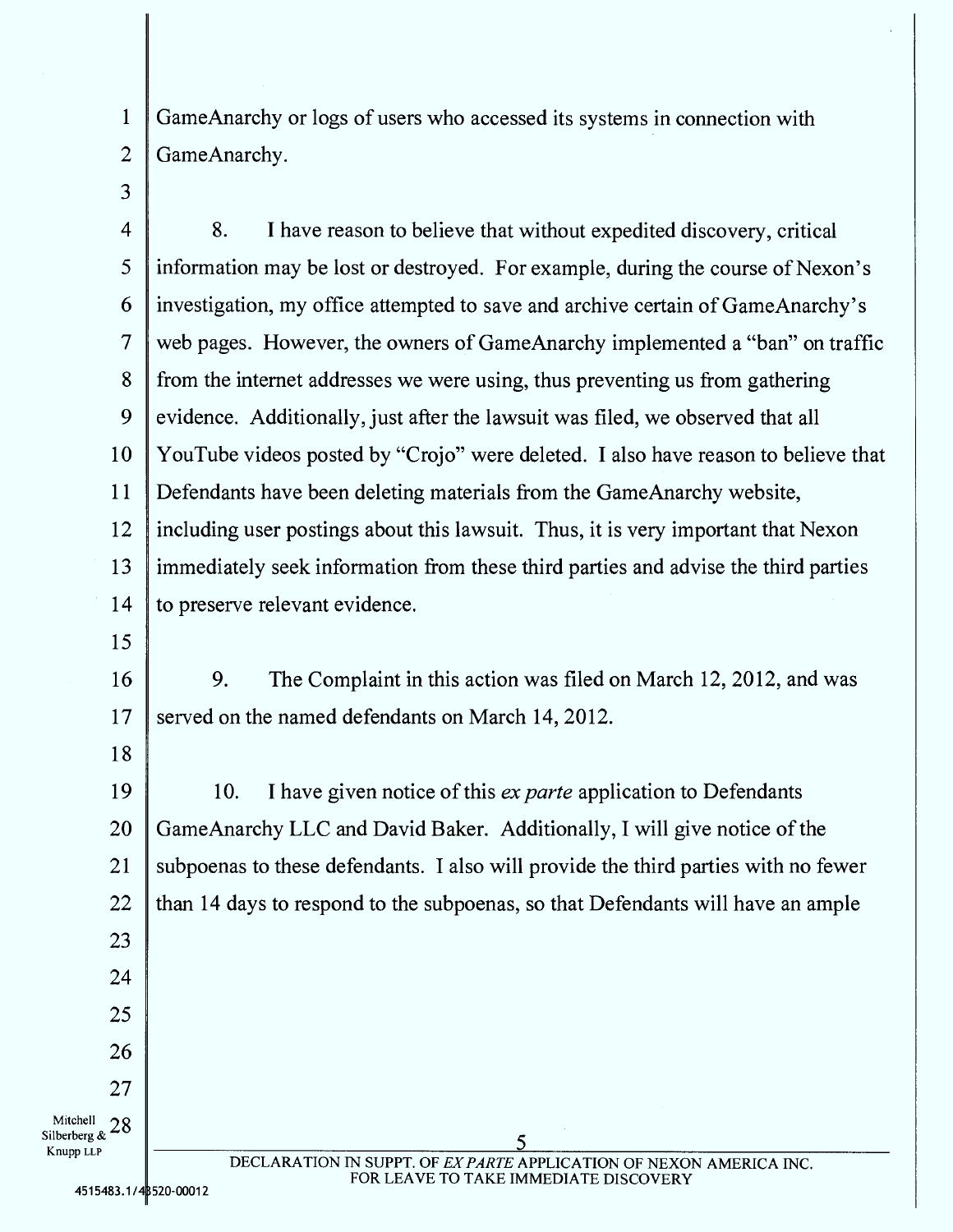1 GameAnarchy or logs of users who accessed its systems in connection with 2 GameAnarchy.

3

4 8. I have reason to believe that without expedited discovery, critical 5 information may be lost or destroyed. For example, during the course of Nexon's 6 investigation, my office attempted to save and archive certain of GameAnarchy's 7 web pages. However, the owners of GameAnarchy implemented a "ban" on traffic 8 from the internet addresses we were using, thus preventing us from gathering 9 evidence. Additionally, just after the lawsuit was filed, we observed that all 10 YouTube videos posted by "Crojo" were deleted. I also have reason to believe that 11 Defendants have been deleting materials from the GameAnarchy website, 12 including user postings about this lawsuit. Thus, it is very important that Nexon 13 immediately seek information from these third parties and advise the third parties 14 to preserve relevant evidence.

15

18

23

24

25

26

27

16 9. The Complaint in this action was filed on March 12, 2012, and was 17 served on the named defendants on March 14, 2012.

19 10. I have given notice of this *ex parte* application to Defendants 20 GameAnarchy LLC and David Baker. Additionally, I will give notice of the 21 | subpoenas to these defendants. I also will provide the third parties with no fewer 22  $\parallel$  than 14 days to respond to the subpoenas, so that Defendants will have an ample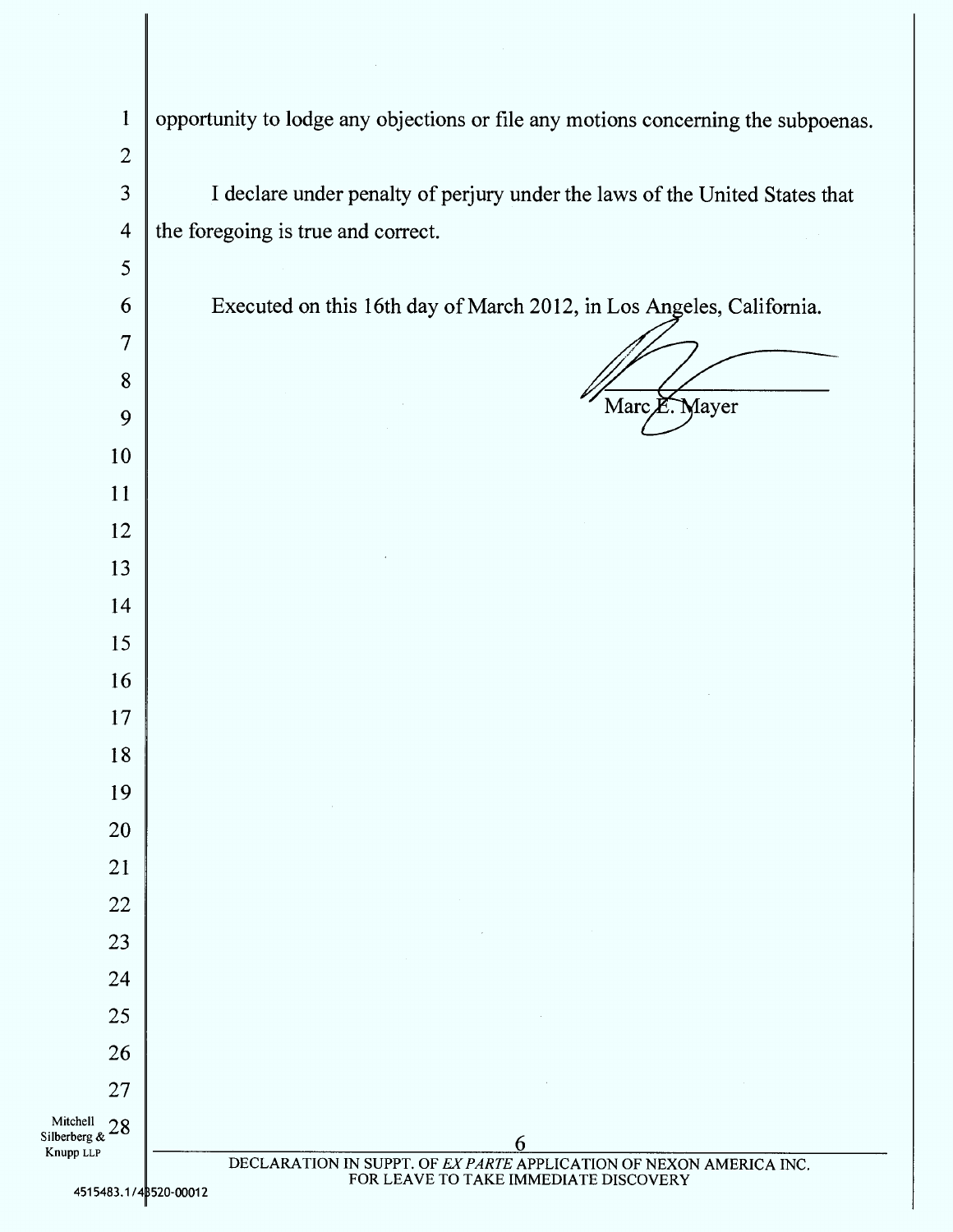| $\mathbf{1}$              | opportunity to lodge any objections or file any motions concerning the subpoenas. |  |
|---------------------------|-----------------------------------------------------------------------------------|--|
| $\overline{2}$            |                                                                                   |  |
| 3                         | I declare under penalty of perjury under the laws of the United States that       |  |
| $\overline{4}$            | the foregoing is true and correct.                                                |  |
| 5                         |                                                                                   |  |
| 6                         | Executed on this 16th day of March 2012, in Los Angeles, California.              |  |
| $\overline{7}$            |                                                                                   |  |
| 8                         |                                                                                   |  |
| 9                         | Marc E. Mayer                                                                     |  |
| 10                        |                                                                                   |  |
| 11                        |                                                                                   |  |
| 12                        |                                                                                   |  |
| 13                        |                                                                                   |  |
| 14                        |                                                                                   |  |
| 15                        |                                                                                   |  |
| 16                        |                                                                                   |  |
| 17                        |                                                                                   |  |
| 18                        |                                                                                   |  |
| 19                        |                                                                                   |  |
| 20                        |                                                                                   |  |
| 21                        | $\sim 10^{-1}$                                                                    |  |
| 22<br>23                  | the control of the control of the control of                                      |  |
| 24                        |                                                                                   |  |
| 25                        |                                                                                   |  |
| 26                        |                                                                                   |  |
| 27                        |                                                                                   |  |
| Silberberg & $28$<br>Knus |                                                                                   |  |
| Knupp LLP                 | 6<br>DECLARATION IN SUPPT. OF EX PARTE APPLICATION OF NEXON AMERICA INC.          |  |
| 4515483.1/43520-00012     | FOR LEAVE TO TAKE IMMEDIATE DISCOVERY                                             |  |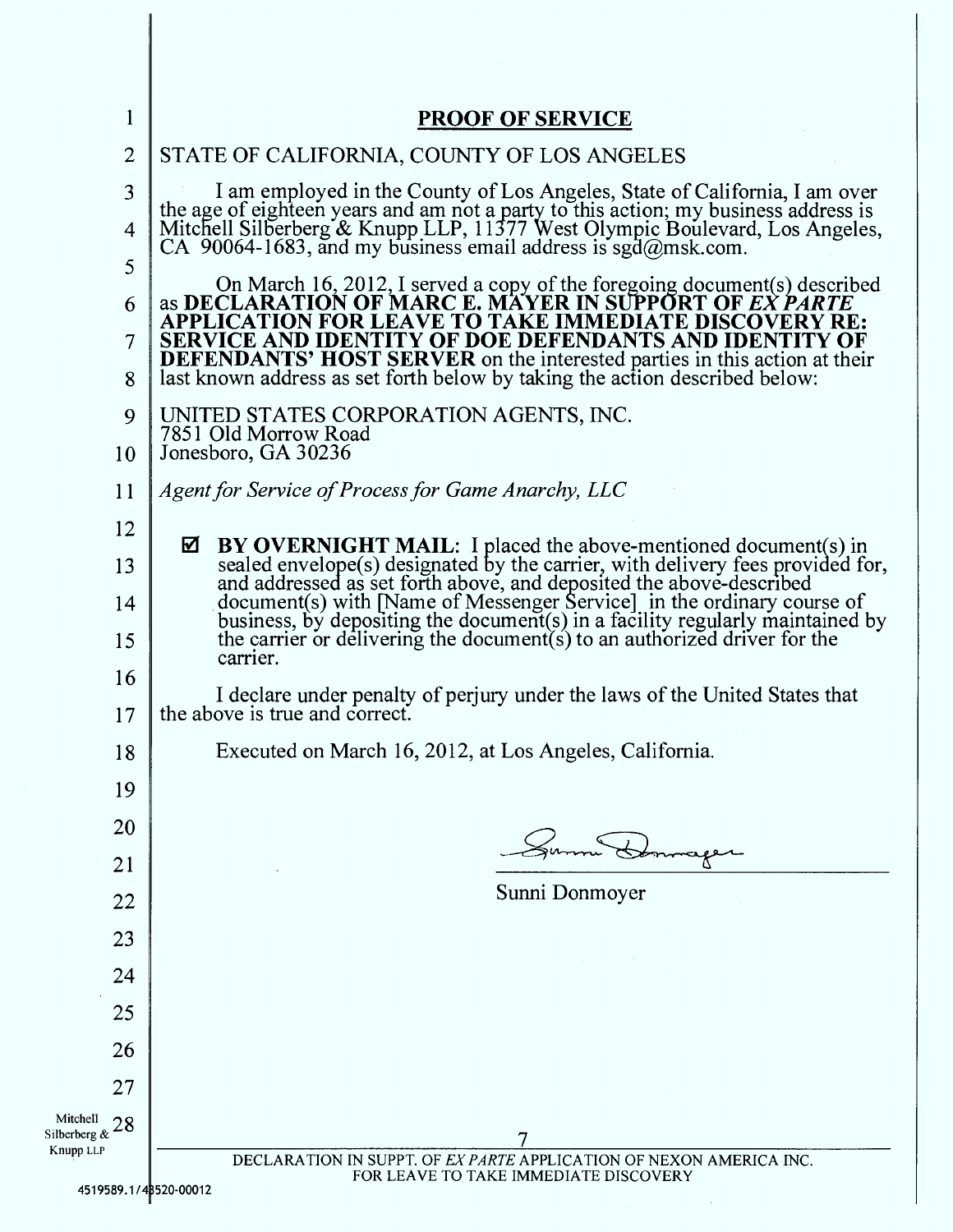| $\mathbf{1}$                                | <b>PROOF OF SERVICE</b>                                                                                                                                                                                                                                                                                                                                                                                                          |  |
|---------------------------------------------|----------------------------------------------------------------------------------------------------------------------------------------------------------------------------------------------------------------------------------------------------------------------------------------------------------------------------------------------------------------------------------------------------------------------------------|--|
| $\overline{2}$                              | STATE OF CALIFORNIA, COUNTY OF LOS ANGELES                                                                                                                                                                                                                                                                                                                                                                                       |  |
| 3<br>4                                      | I am employed in the County of Los Angeles, State of California, I am over<br>the age of eighteen years and am not a party to this action; my business address is Mitchell Silberberg & Knupp LLP, 11377 West Olympic Boulevard, Los Angeles,<br>CA 90064-1683, and my business email address is sgd $@$ msk.com.                                                                                                                |  |
| 5<br>6<br>7<br>8                            | On March 16, 2012, I served a copy of the foregoing document(s) described<br>as <b>DECLARATION OF MARC E. MAYER IN SUPPORT OF EX PARTE</b><br>APPLICATION FOR LEAVE TO TAKE IMMEDIATE DISCOVERY RE:<br>SERVICE AND IDENTITY OF DOE DEFENDANTS AND IDENTITY OF<br><b>DEFENDANTS' HOST SERVER</b> on the interested parties in this action at their<br>last known address as set forth below by taking the action described below: |  |
| 9<br>10                                     | UNITED STATES CORPORATION AGENTS, INC.<br>7851 Old Morrow Road<br>Jonesboro, GA 30236                                                                                                                                                                                                                                                                                                                                            |  |
| 11                                          | Agent for Service of Process for Game Anarchy, LLC                                                                                                                                                                                                                                                                                                                                                                               |  |
| 12                                          | BY OVERNIGHT MAIL: I placed the above-mentioned document(s) in<br>☑                                                                                                                                                                                                                                                                                                                                                              |  |
| 13                                          | sealed envelope(s) designated by the carrier, with delivery fees provided for,<br>and addressed as set forth above, and deposited the above-described                                                                                                                                                                                                                                                                            |  |
| 14                                          | document(s) with [Name of Messenger Service] in the ordinary course of<br>business, by depositing the document(s) in a facility regularly maintained by                                                                                                                                                                                                                                                                          |  |
| 15                                          | the carrier or delivering the document $(s)$ to an authorized driver for the<br>carrier.<br>I declare under penalty of perjury under the laws of the United States that<br>the above is true and correct.<br>Executed on March 16, 2012, at Los Angeles, California.<br>Ē                                                                                                                                                        |  |
| 16<br>17                                    |                                                                                                                                                                                                                                                                                                                                                                                                                                  |  |
| 18                                          |                                                                                                                                                                                                                                                                                                                                                                                                                                  |  |
| 19                                          |                                                                                                                                                                                                                                                                                                                                                                                                                                  |  |
| 20                                          |                                                                                                                                                                                                                                                                                                                                                                                                                                  |  |
| 21                                          | Sunni Donmoyer                                                                                                                                                                                                                                                                                                                                                                                                                   |  |
| 22<br>23                                    |                                                                                                                                                                                                                                                                                                                                                                                                                                  |  |
| 24                                          |                                                                                                                                                                                                                                                                                                                                                                                                                                  |  |
| 25                                          |                                                                                                                                                                                                                                                                                                                                                                                                                                  |  |
| 26                                          |                                                                                                                                                                                                                                                                                                                                                                                                                                  |  |
| 27                                          |                                                                                                                                                                                                                                                                                                                                                                                                                                  |  |
| Mitchell<br>28<br>Silberberg &<br>Knupp LLP |                                                                                                                                                                                                                                                                                                                                                                                                                                  |  |
| 4519589.1/48520-00012                       | DECLARATION IN SUPPT. OF EX PARTE APPLICATION OF NEXON AMERICA INC.<br>FOR LEAVE TO TAKE IMMEDIATE DISCOVERY                                                                                                                                                                                                                                                                                                                     |  |